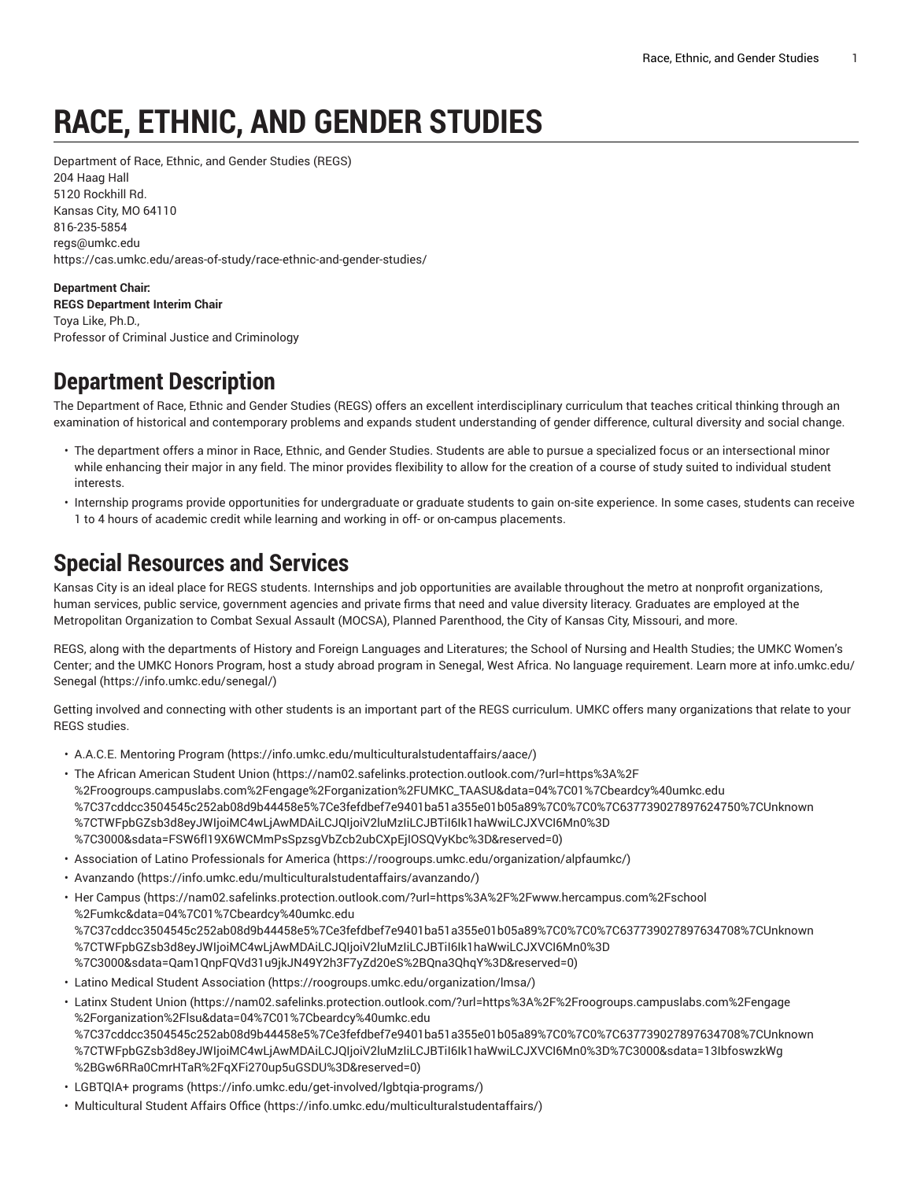# **RACE, ETHNIC, AND GENDER STUDIES**

Department of Race, Ethnic, and Gender Studies (REGS) 204 Haag Hall 5120 Rockhill Rd. Kansas City, MO 64110 816-235-5854 [regs@umkc.edu](mailto:regs@umkc.edu) <https://cas.umkc.edu/areas-of-study/race-ethnic-and-gender-studies/>

**Department Chair: REGS Department Interim Chair** Toya Like, Ph.D., Professor of Criminal Justice and Criminology

## **Department Description**

The Department of Race, Ethnic and Gender Studies (REGS) offers an excellent interdisciplinary curriculum that teaches critical thinking through an examination of historical and contemporary problems and expands student understanding of gender difference, cultural diversity and social change.

- The department offers a minor in Race, Ethnic, and Gender Studies. Students are able to pursue a specialized focus or an intersectional minor while enhancing their major in any field. The minor provides flexibility to allow for the creation of a course of study suited to individual student interests.
- Internship programs provide opportunities for undergraduate or graduate students to gain on-site experience. In some cases, students can receive 1 to 4 hours of academic credit while learning and working in off- or on-campus placements.

## **Special Resources and Services**

Kansas City is an ideal place for REGS students. Internships and job opportunities are available throughout the metro at nonprofit organizations, human services, public service, government agencies and private firms that need and value diversity literacy. Graduates are employed at the Metropolitan Organization to Combat Sexual Assault (MOCSA), Planned Parenthood, the City of Kansas City, Missouri, and more.

REGS, along with the departments of History and Foreign Languages and Literatures; the School of Nursing and Health Studies; the UMKC Women's Center; and the UMKC Honors Program, host a study abroad program in Senegal, West Africa. No language requirement. Learn more at [info.umkc.edu/](https://info.umkc.edu/senegal/) [Senegal](https://info.umkc.edu/senegal/) ([https://info.umkc.edu/senegal/\)](https://info.umkc.edu/senegal/)

Getting involved and connecting with other students is an important part of the REGS curriculum. UMKC offers many organizations that relate to your REGS studies.

- A.A.C.E. [Mentoring](https://info.umkc.edu/multiculturalstudentaffairs/aace/) Program [\(https://info.umkc.edu/multiculturalstudentaffairs/aace/](https://info.umkc.edu/multiculturalstudentaffairs/aace/))
- [The African American Student Union](https://nam02.safelinks.protection.outlook.com/?url=https%3A%2F%2Froogroups.campuslabs.com%2Fengage%2Forganization%2FUMKC_TAASU&data=04%7C01%7Cbeardcy%40umkc.edu%7C37cddcc3504545c252ab08d9b44458e5%7Ce3fefdbef7e9401ba51a355e01b05a89%7C0%7C0%7C637739027897624750%7CUnknown%7CTWFpbGZsb3d8eyJWIjoiMC4wLjAwMDAiLCJQIjoiV2luMzIiLCJBTiI6Ik1haWwiLCJXVCI6Mn0%3D%7C3000&sdata=FSW6fl19X6WCMmPsSpzsgVbZcb2ubCXpEjIOSQVyKbc%3D&reserved=0) ([https://nam02.safelinks.protection.outlook.com/?url=https%3A%2F](https://nam02.safelinks.protection.outlook.com/?url=https%3A%2F%2Froogroups.campuslabs.com%2Fengage%2Forganization%2FUMKC_TAASU&data=04%7C01%7Cbeardcy%40umkc.edu%7C37cddcc3504545c252ab08d9b44458e5%7Ce3fefdbef7e9401ba51a355e01b05a89%7C0%7C0%7C637739027897624750%7CUnknown%7CTWFpbGZsb3d8eyJWIjoiMC4wLjAwMDAiLCJQIjoiV2luMzIiLCJBTiI6Ik1haWwiLCJXVCI6Mn0%3D%7C3000&sdata=FSW6fl19X6WCMmPsSpzsgVbZcb2ubCXpEjIOSQVyKbc%3D&reserved=0) [%2Froogroups.campuslabs.com%2Fengage%2Forganization%2FUMKC\\_TAASU&data=04%7C01%7Cbeardcy%40umkc.edu](https://nam02.safelinks.protection.outlook.com/?url=https%3A%2F%2Froogroups.campuslabs.com%2Fengage%2Forganization%2FUMKC_TAASU&data=04%7C01%7Cbeardcy%40umkc.edu%7C37cddcc3504545c252ab08d9b44458e5%7Ce3fefdbef7e9401ba51a355e01b05a89%7C0%7C0%7C637739027897624750%7CUnknown%7CTWFpbGZsb3d8eyJWIjoiMC4wLjAwMDAiLCJQIjoiV2luMzIiLCJBTiI6Ik1haWwiLCJXVCI6Mn0%3D%7C3000&sdata=FSW6fl19X6WCMmPsSpzsgVbZcb2ubCXpEjIOSQVyKbc%3D&reserved=0) [%7C37cddcc3504545c252ab08d9b44458e5%7Ce3fefdbef7e9401ba51a355e01b05a89%7C0%7C0%7C637739027897624750%7CUnknown](https://nam02.safelinks.protection.outlook.com/?url=https%3A%2F%2Froogroups.campuslabs.com%2Fengage%2Forganization%2FUMKC_TAASU&data=04%7C01%7Cbeardcy%40umkc.edu%7C37cddcc3504545c252ab08d9b44458e5%7Ce3fefdbef7e9401ba51a355e01b05a89%7C0%7C0%7C637739027897624750%7CUnknown%7CTWFpbGZsb3d8eyJWIjoiMC4wLjAwMDAiLCJQIjoiV2luMzIiLCJBTiI6Ik1haWwiLCJXVCI6Mn0%3D%7C3000&sdata=FSW6fl19X6WCMmPsSpzsgVbZcb2ubCXpEjIOSQVyKbc%3D&reserved=0) [%7CTWFpbGZsb3d8eyJWIjoiMC4wLjAwMDAiLCJQIjoiV2luMzIiLCJBTiI6Ik1haWwiLCJXVCI6Mn0%3D](https://nam02.safelinks.protection.outlook.com/?url=https%3A%2F%2Froogroups.campuslabs.com%2Fengage%2Forganization%2FUMKC_TAASU&data=04%7C01%7Cbeardcy%40umkc.edu%7C37cddcc3504545c252ab08d9b44458e5%7Ce3fefdbef7e9401ba51a355e01b05a89%7C0%7C0%7C637739027897624750%7CUnknown%7CTWFpbGZsb3d8eyJWIjoiMC4wLjAwMDAiLCJQIjoiV2luMzIiLCJBTiI6Ik1haWwiLCJXVCI6Mn0%3D%7C3000&sdata=FSW6fl19X6WCMmPsSpzsgVbZcb2ubCXpEjIOSQVyKbc%3D&reserved=0) [%7C3000&sdata=FSW6fl19X6WCMmPsSpzsgVbZcb2ubCXpEjIOSQVyKbc%3D&reserved=0\)](https://nam02.safelinks.protection.outlook.com/?url=https%3A%2F%2Froogroups.campuslabs.com%2Fengage%2Forganization%2FUMKC_TAASU&data=04%7C01%7Cbeardcy%40umkc.edu%7C37cddcc3504545c252ab08d9b44458e5%7Ce3fefdbef7e9401ba51a355e01b05a89%7C0%7C0%7C637739027897624750%7CUnknown%7CTWFpbGZsb3d8eyJWIjoiMC4wLjAwMDAiLCJQIjoiV2luMzIiLCJBTiI6Ik1haWwiLCJXVCI6Mn0%3D%7C3000&sdata=FSW6fl19X6WCMmPsSpzsgVbZcb2ubCXpEjIOSQVyKbc%3D&reserved=0)
- Association of Latino [Professionals](https://roogroups.umkc.edu/organization/alpfaumkc/) for America [\(https://roogroups.umkc.edu/organization/alpfaumkc/](https://roogroups.umkc.edu/organization/alpfaumkc/))
- [Avanzando](https://info.umkc.edu/multiculturalstudentaffairs/avanzando/) ([https://info.umkc.edu/multiculturalstudentaffairs/avanzando/\)](https://info.umkc.edu/multiculturalstudentaffairs/avanzando/)
- [Her Campus](https://nam02.safelinks.protection.outlook.com/?url=https%3A%2F%2Fwww.hercampus.com%2Fschool%2Fumkc&data=04%7C01%7Cbeardcy%40umkc.edu%7C37cddcc3504545c252ab08d9b44458e5%7Ce3fefdbef7e9401ba51a355e01b05a89%7C0%7C0%7C637739027897634708%7CUnknown%7CTWFpbGZsb3d8eyJWIjoiMC4wLjAwMDAiLCJQIjoiV2luMzIiLCJBTiI6Ik1haWwiLCJXVCI6Mn0%3D%7C3000&sdata=Qam1QnpFQVd31u9jkJN49Y2h3F7yZd20eS%2BQna3QhqY%3D&reserved=0) ([https://nam02.safelinks.protection.outlook.com/?url=https%3A%2F%2Fwww.hercampus.com%2Fschool](https://nam02.safelinks.protection.outlook.com/?url=https%3A%2F%2Fwww.hercampus.com%2Fschool%2Fumkc&data=04%7C01%7Cbeardcy%40umkc.edu%7C37cddcc3504545c252ab08d9b44458e5%7Ce3fefdbef7e9401ba51a355e01b05a89%7C0%7C0%7C637739027897634708%7CUnknown%7CTWFpbGZsb3d8eyJWIjoiMC4wLjAwMDAiLCJQIjoiV2luMzIiLCJBTiI6Ik1haWwiLCJXVCI6Mn0%3D%7C3000&sdata=Qam1QnpFQVd31u9jkJN49Y2h3F7yZd20eS%2BQna3QhqY%3D&reserved=0) [%2Fumkc&data=04%7C01%7Cbeardcy%40umkc.edu](https://nam02.safelinks.protection.outlook.com/?url=https%3A%2F%2Fwww.hercampus.com%2Fschool%2Fumkc&data=04%7C01%7Cbeardcy%40umkc.edu%7C37cddcc3504545c252ab08d9b44458e5%7Ce3fefdbef7e9401ba51a355e01b05a89%7C0%7C0%7C637739027897634708%7CUnknown%7CTWFpbGZsb3d8eyJWIjoiMC4wLjAwMDAiLCJQIjoiV2luMzIiLCJBTiI6Ik1haWwiLCJXVCI6Mn0%3D%7C3000&sdata=Qam1QnpFQVd31u9jkJN49Y2h3F7yZd20eS%2BQna3QhqY%3D&reserved=0) [%7C37cddcc3504545c252ab08d9b44458e5%7Ce3fefdbef7e9401ba51a355e01b05a89%7C0%7C0%7C637739027897634708%7CUnknown](https://nam02.safelinks.protection.outlook.com/?url=https%3A%2F%2Fwww.hercampus.com%2Fschool%2Fumkc&data=04%7C01%7Cbeardcy%40umkc.edu%7C37cddcc3504545c252ab08d9b44458e5%7Ce3fefdbef7e9401ba51a355e01b05a89%7C0%7C0%7C637739027897634708%7CUnknown%7CTWFpbGZsb3d8eyJWIjoiMC4wLjAwMDAiLCJQIjoiV2luMzIiLCJBTiI6Ik1haWwiLCJXVCI6Mn0%3D%7C3000&sdata=Qam1QnpFQVd31u9jkJN49Y2h3F7yZd20eS%2BQna3QhqY%3D&reserved=0) [%7CTWFpbGZsb3d8eyJWIjoiMC4wLjAwMDAiLCJQIjoiV2luMzIiLCJBTiI6Ik1haWwiLCJXVCI6Mn0%3D](https://nam02.safelinks.protection.outlook.com/?url=https%3A%2F%2Fwww.hercampus.com%2Fschool%2Fumkc&data=04%7C01%7Cbeardcy%40umkc.edu%7C37cddcc3504545c252ab08d9b44458e5%7Ce3fefdbef7e9401ba51a355e01b05a89%7C0%7C0%7C637739027897634708%7CUnknown%7CTWFpbGZsb3d8eyJWIjoiMC4wLjAwMDAiLCJQIjoiV2luMzIiLCJBTiI6Ik1haWwiLCJXVCI6Mn0%3D%7C3000&sdata=Qam1QnpFQVd31u9jkJN49Y2h3F7yZd20eS%2BQna3QhqY%3D&reserved=0) [%7C3000&sdata=Qam1QnpFQVd31u9jkJN49Y2h3F7yZd20eS%2BQna3QhqY%3D&reserved=0\)](https://nam02.safelinks.protection.outlook.com/?url=https%3A%2F%2Fwww.hercampus.com%2Fschool%2Fumkc&data=04%7C01%7Cbeardcy%40umkc.edu%7C37cddcc3504545c252ab08d9b44458e5%7Ce3fefdbef7e9401ba51a355e01b05a89%7C0%7C0%7C637739027897634708%7CUnknown%7CTWFpbGZsb3d8eyJWIjoiMC4wLjAwMDAiLCJQIjoiV2luMzIiLCJBTiI6Ik1haWwiLCJXVCI6Mn0%3D%7C3000&sdata=Qam1QnpFQVd31u9jkJN49Y2h3F7yZd20eS%2BQna3QhqY%3D&reserved=0)
- [Latino Medical Student Association](https://roogroups.umkc.edu/organization/lmsa/) ([https://roogroups.umkc.edu/organization/lmsa/\)](https://roogroups.umkc.edu/organization/lmsa/)

• [Latinx Student Union](https://nam02.safelinks.protection.outlook.com/?url=https%3A%2F%2Froogroups.campuslabs.com%2Fengage%2Forganization%2Flsu&data=04%7C01%7Cbeardcy%40umkc.edu%7C37cddcc3504545c252ab08d9b44458e5%7Ce3fefdbef7e9401ba51a355e01b05a89%7C0%7C0%7C637739027897634708%7CUnknown%7CTWFpbGZsb3d8eyJWIjoiMC4wLjAwMDAiLCJQIjoiV2luMzIiLCJBTiI6Ik1haWwiLCJXVCI6Mn0%3D%7C3000&sdata=13IbfoswzkWg%2BGw6RRa0CmrHTaR%2FqXFi270up5uGSDU%3D&reserved=0) [\(https://nam02.safelinks.protection.outlook.com/?url=https%3A%2F%2Froogroups.campuslabs.com%2Fengage](https://nam02.safelinks.protection.outlook.com/?url=https%3A%2F%2Froogroups.campuslabs.com%2Fengage%2Forganization%2Flsu&data=04%7C01%7Cbeardcy%40umkc.edu%7C37cddcc3504545c252ab08d9b44458e5%7Ce3fefdbef7e9401ba51a355e01b05a89%7C0%7C0%7C637739027897634708%7CUnknown%7CTWFpbGZsb3d8eyJWIjoiMC4wLjAwMDAiLCJQIjoiV2luMzIiLCJBTiI6Ik1haWwiLCJXVCI6Mn0%3D%7C3000&sdata=13IbfoswzkWg%2BGw6RRa0CmrHTaR%2FqXFi270up5uGSDU%3D&reserved=0) [%2Forganization%2Flsu&data=04%7C01%7Cbeardcy%40umkc.edu](https://nam02.safelinks.protection.outlook.com/?url=https%3A%2F%2Froogroups.campuslabs.com%2Fengage%2Forganization%2Flsu&data=04%7C01%7Cbeardcy%40umkc.edu%7C37cddcc3504545c252ab08d9b44458e5%7Ce3fefdbef7e9401ba51a355e01b05a89%7C0%7C0%7C637739027897634708%7CUnknown%7CTWFpbGZsb3d8eyJWIjoiMC4wLjAwMDAiLCJQIjoiV2luMzIiLCJBTiI6Ik1haWwiLCJXVCI6Mn0%3D%7C3000&sdata=13IbfoswzkWg%2BGw6RRa0CmrHTaR%2FqXFi270up5uGSDU%3D&reserved=0) [%7C37cddcc3504545c252ab08d9b44458e5%7Ce3fefdbef7e9401ba51a355e01b05a89%7C0%7C0%7C637739027897634708%7CUnknown](https://nam02.safelinks.protection.outlook.com/?url=https%3A%2F%2Froogroups.campuslabs.com%2Fengage%2Forganization%2Flsu&data=04%7C01%7Cbeardcy%40umkc.edu%7C37cddcc3504545c252ab08d9b44458e5%7Ce3fefdbef7e9401ba51a355e01b05a89%7C0%7C0%7C637739027897634708%7CUnknown%7CTWFpbGZsb3d8eyJWIjoiMC4wLjAwMDAiLCJQIjoiV2luMzIiLCJBTiI6Ik1haWwiLCJXVCI6Mn0%3D%7C3000&sdata=13IbfoswzkWg%2BGw6RRa0CmrHTaR%2FqXFi270up5uGSDU%3D&reserved=0) [%7CTWFpbGZsb3d8eyJWIjoiMC4wLjAwMDAiLCJQIjoiV2luMzIiLCJBTiI6Ik1haWwiLCJXVCI6Mn0%3D%7C3000&sdata=13IbfoswzkWg](https://nam02.safelinks.protection.outlook.com/?url=https%3A%2F%2Froogroups.campuslabs.com%2Fengage%2Forganization%2Flsu&data=04%7C01%7Cbeardcy%40umkc.edu%7C37cddcc3504545c252ab08d9b44458e5%7Ce3fefdbef7e9401ba51a355e01b05a89%7C0%7C0%7C637739027897634708%7CUnknown%7CTWFpbGZsb3d8eyJWIjoiMC4wLjAwMDAiLCJQIjoiV2luMzIiLCJBTiI6Ik1haWwiLCJXVCI6Mn0%3D%7C3000&sdata=13IbfoswzkWg%2BGw6RRa0CmrHTaR%2FqXFi270up5uGSDU%3D&reserved=0) [%2BGw6RRa0CmrHTaR%2FqXFi270up5uGSDU%3D&reserved=0\)](https://nam02.safelinks.protection.outlook.com/?url=https%3A%2F%2Froogroups.campuslabs.com%2Fengage%2Forganization%2Flsu&data=04%7C01%7Cbeardcy%40umkc.edu%7C37cddcc3504545c252ab08d9b44458e5%7Ce3fefdbef7e9401ba51a355e01b05a89%7C0%7C0%7C637739027897634708%7CUnknown%7CTWFpbGZsb3d8eyJWIjoiMC4wLjAwMDAiLCJQIjoiV2luMzIiLCJBTiI6Ik1haWwiLCJXVCI6Mn0%3D%7C3000&sdata=13IbfoswzkWg%2BGw6RRa0CmrHTaR%2FqXFi270up5uGSDU%3D&reserved=0)

- [LGBTQIA+](https://info.umkc.edu/get-involved/lgbtqia-programs/) programs ([https://info.umkc.edu/get-involved/lgbtqia-programs/\)](https://info.umkc.edu/get-involved/lgbtqia-programs/)
- [Multicultural Student Affairs Office](https://info.umkc.edu/multiculturalstudentaffairs/) (<https://info.umkc.edu/multiculturalstudentaffairs/>)